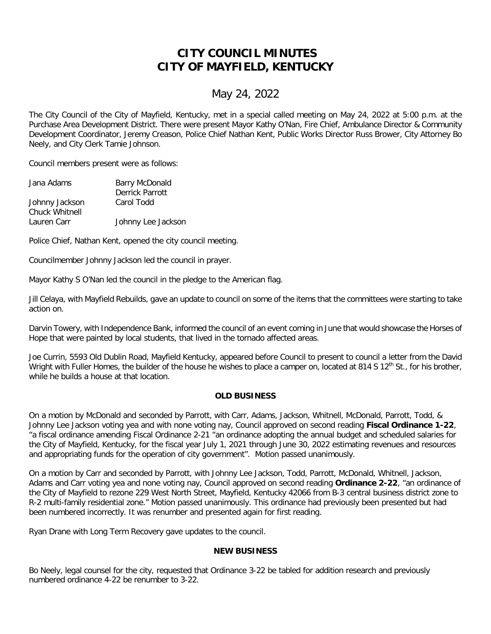## **CITY COUNCIL MINUTES CITY OF MAYFIELD, KENTUCKY**

## May 24, 2022

The City Council of the City of Mayfield, Kentucky, met in a special called meeting on May 24, 2022 at 5:00 p.m. at the Purchase Area Development District. There were present Mayor Kathy O'Nan, Fire Chief, Ambulance Director & Community Development Coordinator, Jeremy Creason, Police Chief Nathan Kent, Public Works Director Russ Brower, City Attorney Bo Neely, and City Clerk Tamie Johnson.

Council members present were as follows:

| <b>Barry McDonald</b> |
|-----------------------|
| Derrick Parrott       |
| Carol Todd            |
|                       |
| Johnny Lee Jackson    |
|                       |

Police Chief, Nathan Kent, opened the city council meeting.

Councilmember Johnny Jackson led the council in prayer.

Mayor Kathy S O'Nan led the council in the pledge to the American flag.

Jill Celaya, with Mayfield Rebuilds, gave an update to council on some of the items that the committees were starting to take action on.

Darvin Towery, with Independence Bank, informed the council of an event coming in June that would showcase the Horses of Hope that were painted by local students, that lived in the tornado affected areas.

Joe Currin, 5593 Old Dublin Road, Mayfield Kentucky, appeared before Council to present to council a letter from the David Wright with Fuller Homes, the builder of the house he wishes to place a camper on, located at 814 S 12<sup>th</sup> St., for his brother, while he builds a house at that location.

## **OLD BUSINESS**

On a motion by McDonald and seconded by Parrott, with Carr, Adams, Jackson, Whitnell, McDonald, Parrott, Todd, & Johnny Lee Jackson voting yea and with none voting nay, Council approved on second reading **Fiscal Ordinance 1-22**, "a fiscal ordinance amending Fiscal Ordinance 2-21 "an ordinance adopting the annual budget and scheduled salaries for the City of Mayfield, Kentucky, for the fiscal year July 1, 2021 through June 30, 2022 estimating revenues and resources and appropriating funds for the operation of city government". Motion passed unanimously.

On a motion by Carr and seconded by Parrott, with Johnny Lee Jackson, Todd, Parrott, McDonald, Whitnell, Jackson, Adams and Carr voting yea and none voting nay, Council approved on second reading **Ordinance 2-22**, "an ordinance of the City of Mayfield to rezone 229 West North Street, Mayfield, Kentucky 42066 from B-3 central business district zone to R-2 multi-family residential zone." Motion passed unanimously. This ordinance had previously been presented but had been numbered incorrectly. It was renumber and presented again for first reading.

Ryan Drane with Long Term Recovery gave updates to the council.

## **NEW BUSINESS**

Bo Neely, legal counsel for the city, requested that Ordinance 3-22 be tabled for addition research and previously numbered ordinance 4-22 be renumber to 3-22.